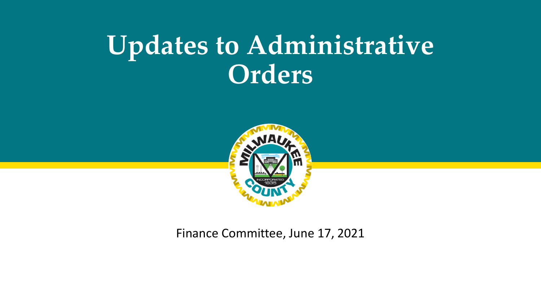## **Updates to Administrative Orders**



Finance Committee, June 17, 2021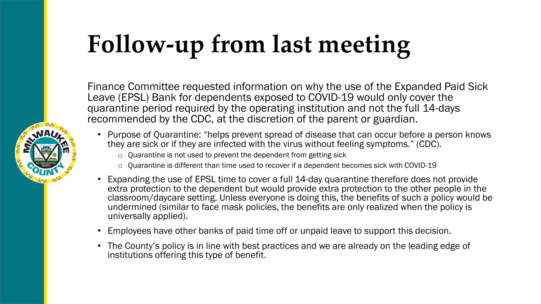## **Follow-up from last meeting**

Finance Committee requested information on why the use of the Expanded Paid Sick Leave (EPSL) Bank for dependents exposed to COVID-19 would only cover the quarantine period required by the operating institution and not the full 14-days recommended by the CDC, at the discretion of the parent or guardian.

- Purpose of Quarantine: "helps prevent spread of disease that can occur before a person knows they are sick or if they are infected with the virus without feeling symptoms." (CDC).
	- o Quarantine is not used to prevent the dependent from getting sick
	- o Quarantine is different than time used to recover if a dependent becomes sick with COVID-19
- Expanding the use of EPSL time to cover a full 14-day quarantine therefore does not provide extra protection to the dependent but would provide extra protection to the other people in the classroom/daycare setting. Unless everyone is doing this, the benefits of such a policy would be undermined (similar to face mask policies, the benefits are only realized when the policy is universally applied).
- Employees have other banks of paid time off or unpaid leave to support this decision.
- The County's policy is in line with best practices and we are already on the leading edge of institutions offering this type of benefit.

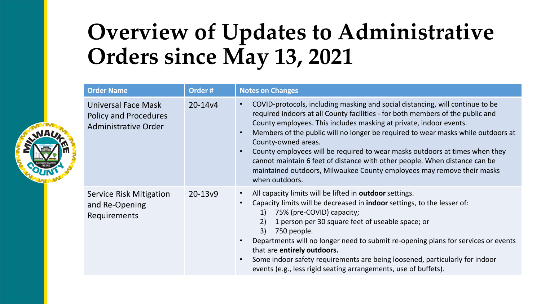## **Overview of Updates to Administrative Orders since May 13, 2021**

| <b>Order Name</b>                                                                  | Order#              | <b>Notes on Changes</b>                                                                                                                                                                                                                                                                                                                                                                                                                                                                                                                                                                                                                          |  |
|------------------------------------------------------------------------------------|---------------------|--------------------------------------------------------------------------------------------------------------------------------------------------------------------------------------------------------------------------------------------------------------------------------------------------------------------------------------------------------------------------------------------------------------------------------------------------------------------------------------------------------------------------------------------------------------------------------------------------------------------------------------------------|--|
| Universal Face Mask<br><b>Policy and Procedures</b><br><b>Administrative Order</b> | $20 - 14v4$         | COVID-protocols, including masking and social distancing, will continue to be<br>$\bullet$<br>required indoors at all County facilities - for both members of the public and<br>County employees. This includes masking at private, indoor events.<br>Members of the public will no longer be required to wear masks while outdoors at<br>$\bullet$<br>County-owned areas.<br>County employees will be required to wear masks outdoors at times when they<br>$\bullet$<br>cannot maintain 6 feet of distance with other people. When distance can be<br>maintained outdoors, Milwaukee County employees may remove their masks<br>when outdoors. |  |
| <b>Service Risk Mitigation</b><br>and Re-Opening<br><b>Requirements</b>            | 20-13 <sub>v9</sub> | All capacity limits will be lifted in outdoor settings.<br>$\bullet$<br>Capacity limits will be decreased in <b>indoor</b> settings, to the lesser of:<br>$\bullet$<br>75% (pre-COVID) capacity;<br>1)<br>1 person per 30 square feet of useable space; or<br>2)<br>3)<br>750 people.<br>Departments will no longer need to submit re-opening plans for services or events<br>$\bullet$<br>that are entirely outdoors.<br>Some indoor safety requirements are being loosened, particularly for indoor<br>$\bullet$<br>events (e.g., less rigid seating arrangements, use of buffets).                                                            |  |